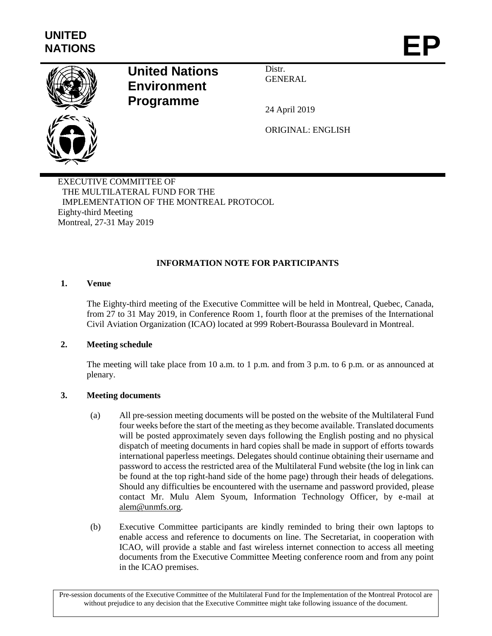

# **United Nations Environment Programme**

Distr. GENERAL

24 April 2019

ORIGINAL: ENGLISH

EXECUTIVE COMMITTEE OF THE MULTILATERAL FUND FOR THE IMPLEMENTATION OF THE MONTREAL PROTOCOL Eighty-third Meeting Montreal, 27-31 May 2019

## **INFORMATION NOTE FOR PARTICIPANTS**

## **1. Venue**

The Eighty-third meeting of the Executive Committee will be held in Montreal, Quebec, Canada, from 27 to 31 May 2019, in Conference Room 1, fourth floor at the premises of the International Civil Aviation Organization (ICAO) located at 999 Robert-Bourassa Boulevard in Montreal.

## **2. Meeting schedule**

The meeting will take place from 10 a.m. to 1 p.m. and from 3 p.m. to 6 p.m. or as announced at plenary.

## **3. Meeting documents**

- (a) All pre-session meeting documents will be posted on the website of the Multilateral Fund four weeks before the start of the meeting as they become available. Translated documents will be posted approximately seven days following the English posting and no physical dispatch of meeting documents in hard copies shall be made in support of efforts towards international paperless meetings. Delegates should continue obtaining their username and password to access the restricted area of the Multilateral Fund website (the log in link can be found at the top right-hand side of the home page) through their heads of delegations. Should any difficulties be encountered with the username and password provided, please contact Mr. Mulu Alem Syoum, Information Technology Officer, by e-mail at [alem@unmfs.org.](mailto:Alem@unmfs.org)
- (b) Executive Committee participants are kindly reminded to bring their own laptops to enable access and reference to documents on line. The Secretariat, in cooperation with ICAO, will provide a stable and fast wireless internet connection to access all meeting documents from the Executive Committee Meeting conference room and from any point in the ICAO premises.

Pre-session documents of the Executive Committee of the Multilateral Fund for the Implementation of the Montreal Protocol are without prejudice to any decision that the Executive Committee might take following issuance of the document.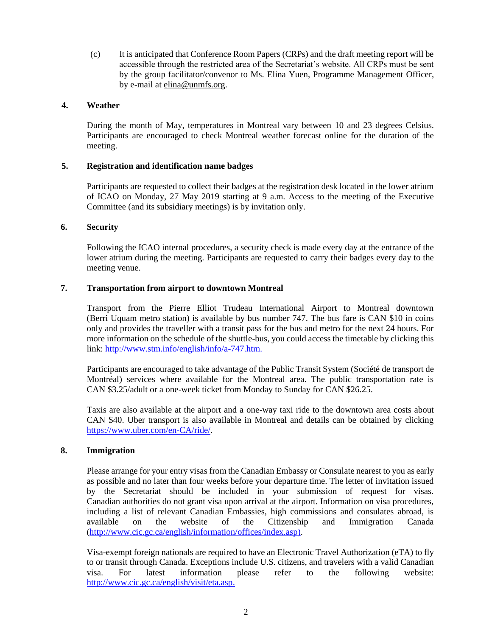(c) It is anticipated that Conference Room Papers (CRPs) and the draft meeting report will be accessible through the restricted area of the Secretariat's website. All CRPs must be sent by the group facilitator/convenor to Ms. Elina Yuen, Programme Management Officer, by e-mail at [elina@unmfs.org.](mailto:elina@unmfs.org)

#### **4. Weather**

During the month of May, temperatures in Montreal vary between 10 and 23 degrees Celsius. Participants are encouraged to check Montreal weather forecast online for the duration of the meeting.

### **5. Registration and identification name badges**

Participants are requested to collect their badges at the registration desk located in the lower atrium of ICAO on Monday, 27 May 2019 starting at 9 a.m. Access to the meeting of the Executive Committee (and its subsidiary meetings) is by invitation only.

#### **6. Security**

Following the ICAO internal procedures, a security check is made every day at the entrance of the lower atrium during the meeting. Participants are requested to carry their badges every day to the meeting venue.

### **7. Transportation from airport to downtown Montreal**

Transport from the Pierre Elliot Trudeau International Airport to Montreal downtown (Berri Uquam metro station) is available by bus number 747. The bus fare is CAN \$10 in coins only and provides the traveller with a transit pass for the bus and metro for the next 24 hours. For more information on the schedule of the shuttle-bus, you could access the timetable by clicking this link: [http://www.stm.info/english/info/a-747.htm.](http://www.stm.info/english/info/a-747.htm)

Participants are encouraged to take advantage of the Public Transit System (Société de transport de Montréal) services where available for the Montreal area. The public transportation rate is CAN \$3.25/adult or a one-week ticket from Monday to Sunday for CAN \$26.25.

Taxis are also available at the airport and a one-way taxi ride to the downtown area costs about CAN \$40. Uber transport is also available in Montreal and details can be obtained by clicking [https://www.uber.com/en-CA/ride/.](https://www.uber.com/en-CA/ride/)

#### **8. Immigration**

Please arrange for your entry visas from the Canadian Embassy or Consulate nearest to you as early as possible and no later than four weeks before your departure time. The letter of invitation issued by the Secretariat should be included in your submission of request for visas. Canadian authorities do not grant visa upon arrival at the airport. Information on visa procedures, including a list of relevant Canadian Embassies, high commissions and consulates abroad, is available on the website of the Citizenship and Immigration Canada ([http://www.cic.gc.ca/english/information/offices/index.asp\)](http://www.cic.gc.ca/english/information/offices/index.asp).

Visa-exempt foreign nationals are required to have an [Electronic Travel Authorization](http://www.cic.gc.ca/english/visit/eta.asp) (eTA) to fly to or transit through Canada[. Exceptions](http://www.cic.gc.ca/english/visit/visas-all.asp#eta-exemptions) include U.S. citizens, and travelers with a valid Canadian visa. For latest information please refer to the following website: [http://www.cic.gc.ca/english/visit/eta.asp.](http://www.cic.gc.ca/english/visit/eta.asp)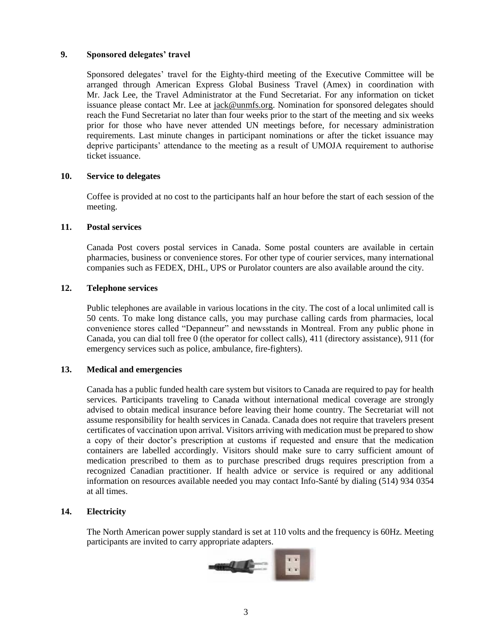#### **9. Sponsored delegates' travel**

Sponsored delegates' travel for the Eighty-third meeting of the Executive Committee will be arranged through American Express Global Business Travel (Amex) in coordination with Mr. Jack Lee, the Travel Administrator at the Fund Secretariat. For any information on ticket issuance please contact Mr. Lee at [jack@unmfs.org.](mailto:jack@unmfs.org) Nomination for sponsored delegates should reach the Fund Secretariat no later than four weeks prior to the start of the meeting and six weeks prior for those who have never attended UN meetings before, for necessary administration requirements. Last minute changes in participant nominations or after the ticket issuance may deprive participants' attendance to the meeting as a result of UMOJA requirement to authorise ticket issuance.

#### **10. Service to delegates**

Coffee is provided at no cost to the participants half an hour before the start of each session of the meeting.

#### **11. Postal services**

Canada Post covers postal services in Canada. Some postal counters are available in certain pharmacies, business or convenience stores. For other type of courier services, many international companies such as FEDEX, DHL, UPS or Purolator counters are also available around the city.

#### **12. Telephone services**

Public telephones are available in various locations in the city. The cost of a local unlimited call is 50 cents. To make long distance calls, you may purchase calling cards from pharmacies, local convenience stores called "Depanneur" and newsstands in Montreal. From any public phone in Canada, you can dial toll free 0 (the operator for collect calls), 411 (directory assistance), 911 (for emergency services such as police, ambulance, fire-fighters).

#### **13. Medical and emergencies**

Canada has a public funded health care system but visitors to Canada are required to pay for health services*.* Participants traveling to Canada without international medical coverage are strongly advised to obtain medical insurance before leaving their home country. The Secretariat will not assume responsibility for health services in Canada. Canada does not require that travelers present certificates of vaccination upon arrival. Visitors arriving with medication must be prepared to show a copy of their doctor's prescription at customs if requested and ensure that the medication containers are labelled accordingly. Visitors should make sure to carry sufficient amount of medication prescribed to them as to purchase prescribed drugs requires prescription from a recognized Canadian practitioner. If health advice or service is required or any additional information on resources available needed you may contact Info-Santé by dialing (514) 934 0354 at all times.

#### **14. Electricity**

The North American power supply standard is set at 110 volts and the frequency is 60Hz. Meeting participants are invited to carry appropriate adapters.

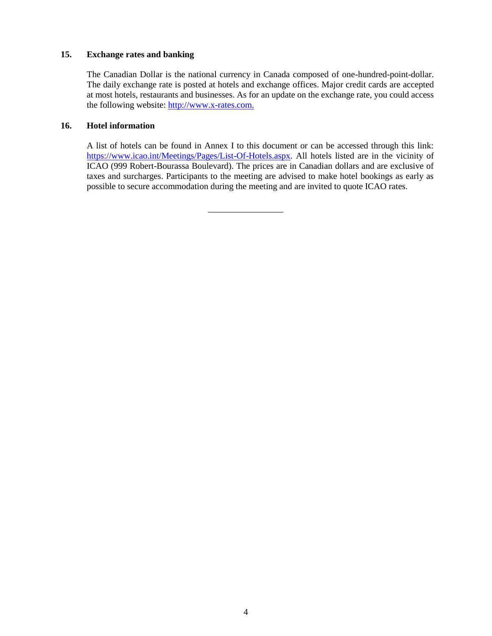#### **15. Exchange rates and banking**

The Canadian Dollar is the national currency in Canada composed of one-hundred-point-dollar. The daily exchange rate is posted at hotels and exchange offices. Major credit cards are accepted at most hotels, restaurants and businesses. As for an update on the exchange rate, you could access the following website: [http://www.x-rates.com.](http://www.x-rates.com/)

#### **16. Hotel information**

A list of hotels can be found in Annex I to this document or can be accessed through this link: [https://www.icao.int/Meetings/Pages/List-Of-Hotels.aspx.](https://www.icao.int/Meetings/Pages/List-Of-Hotels.aspx) All hotels listed are in the vicinity of ICAO (999 Robert-Bourassa Boulevard). The prices are in Canadian dollars and are exclusive of taxes and surcharges. Participants to the meeting are advised to make hotel bookings as early as possible to secure accommodation during the meeting and are invited to quote ICAO rates.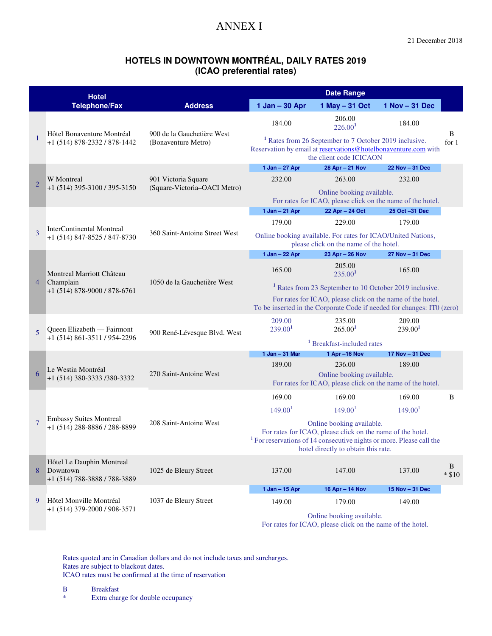## ANNEX I

### **HOTELS IN DOWNTOWN MONTRÉAL, DAILY RATES 2019 (ICAO preferential rates)**

|                | <b>Hotel</b>                                                          | <b>Date Range</b>                                 |                                                                                                                                                                |                                                                                                                                                                                                                   |                     |               |  |
|----------------|-----------------------------------------------------------------------|---------------------------------------------------|----------------------------------------------------------------------------------------------------------------------------------------------------------------|-------------------------------------------------------------------------------------------------------------------------------------------------------------------------------------------------------------------|---------------------|---------------|--|
|                | <b>Telephone/Fax</b>                                                  | <b>Address</b>                                    | 1 Jan - 30 Apr                                                                                                                                                 | 1 May - 31 Oct                                                                                                                                                                                                    | $1$ Nov $-31$ Dec   |               |  |
| 1              | Hôtel Bonaventure Montréal<br>+1 (514) 878-2332 / 878-1442            |                                                   | 184.00                                                                                                                                                         | 206.00<br>226.00 <sup>1</sup>                                                                                                                                                                                     | 184.00              | B             |  |
|                |                                                                       | 900 de la Gauchetière West<br>(Bonaventure Metro) | <sup>1</sup> Rates from 26 September to 7 October 2019 inclusive.<br>Reservation by email at reservations@hotelbonaventure.com with<br>the client code ICICAON |                                                                                                                                                                                                                   |                     |               |  |
| $\overline{2}$ | <b>W</b> Montreal                                                     |                                                   | 1 Jan - 27 Apr                                                                                                                                                 | 28 Apr - 21 Nov                                                                                                                                                                                                   | 22 Nov - 31 Dec     |               |  |
|                |                                                                       | 901 Victoria Square                               | 232.00                                                                                                                                                         | 263.00                                                                                                                                                                                                            | 232.00              |               |  |
|                | +1 (514) 395-3100 / 395-3150                                          | (Square-Victoria-OACI Metro)                      | Online booking available.<br>For rates for ICAO, please click on the name of the hotel.                                                                        |                                                                                                                                                                                                                   |                     |               |  |
| 3              |                                                                       |                                                   | $1$ Jan $-$ 21 Apr                                                                                                                                             | 22 Apr - 24 Oct                                                                                                                                                                                                   | 25 Oct -31 Dec      |               |  |
|                |                                                                       |                                                   | 179.00                                                                                                                                                         | 229.00                                                                                                                                                                                                            | 179.00              |               |  |
|                | <b>InterContinental Montreal</b><br>+1 (514) 847-8525 / 847-8730      | 360 Saint-Antoine Street West                     | Online booking available. For rates for ICAO/United Nations,<br>please click on the name of the hotel.                                                         |                                                                                                                                                                                                                   |                     |               |  |
|                |                                                                       |                                                   | 1 Jan - 22 Apr                                                                                                                                                 | 23 Apr - 26 Nov                                                                                                                                                                                                   | 27 Nov - 31 Dec     |               |  |
|                | Montreal Marriott Château                                             |                                                   | 165.00                                                                                                                                                         | 205.00<br>235.00 <sup>1</sup>                                                                                                                                                                                     | 165.00              |               |  |
| 4              | Champlain<br>+1 (514) 878-9000 / 878-6761                             | 1050 de la Gauchetière West                       |                                                                                                                                                                | <sup>1</sup> Rates from 23 September to 10 October 2019 inclusive.                                                                                                                                                |                     |               |  |
|                |                                                                       |                                                   | For rates for ICAO, please click on the name of the hotel.<br>To be inserted in the Corporate Code if needed for changes: ITO (zero)                           |                                                                                                                                                                                                                   |                     |               |  |
|                | Queen Elizabeth — Fairmont<br>+1 (514) 861-3511 / 954-2296            | 900 René-Lévesque Blvd. West                      | 209.00                                                                                                                                                         | 235.00                                                                                                                                                                                                            | 209.00              |               |  |
| 5              |                                                                       |                                                   | 239.00 <sup>1</sup>                                                                                                                                            | 265.00 <sup>1</sup>                                                                                                                                                                                               | 239.00 <sup>1</sup> |               |  |
|                |                                                                       |                                                   | <sup>1</sup> Breakfast-included rates                                                                                                                          |                                                                                                                                                                                                                   |                     |               |  |
|                | Le Westin Montréal<br>+1 (514) 380-3333 /380-3332                     | 270 Saint-Antoine West                            | 1 Jan - 31 Mar                                                                                                                                                 | 1 Apr -16 Nov                                                                                                                                                                                                     | 17 Nov - 31 Dec     |               |  |
| 6              |                                                                       |                                                   | 189.00                                                                                                                                                         | 236.00                                                                                                                                                                                                            | 189.00              |               |  |
|                |                                                                       |                                                   | Online booking available.<br>For rates for ICAO, please click on the name of the hotel.                                                                        |                                                                                                                                                                                                                   |                     |               |  |
|                | <b>Embassy Suites Montreal</b><br>+1 (514) 288-8886 / 288-8899        | 208 Saint-Antoine West                            | 169.00                                                                                                                                                         | 169.00                                                                                                                                                                                                            | 169.00              | B             |  |
|                |                                                                       |                                                   | 149.00 <sup>1</sup>                                                                                                                                            | 149.00 <sup>1</sup>                                                                                                                                                                                               | 149.00 <sup>1</sup> |               |  |
| 7              |                                                                       |                                                   |                                                                                                                                                                | Online booking available.<br>For rates for ICAO, please click on the name of the hotel.<br><sup>1</sup> For reservations of 14 consecutive nights or more. Please call the<br>hotel directly to obtain this rate. |                     |               |  |
| 8              | Hôtel Le Dauphin Montreal<br>Downtown<br>+1 (514) 788-3888 / 788-3889 | 1025 de Bleury Street                             | 137.00                                                                                                                                                         | 147.00                                                                                                                                                                                                            | 137.00              | B<br>$*$ \$10 |  |
|                |                                                                       |                                                   | 1 Jan - 15 Apr                                                                                                                                                 | 16 Apr - 14 Nov                                                                                                                                                                                                   | 15 Nov - 31 Dec     |               |  |
| 9              | Hôtel Monville Montréal                                               | 1037 de Bleury Street                             | 149.00                                                                                                                                                         | 179.00                                                                                                                                                                                                            | 149.00              |               |  |
|                | +1 (514) 379-2000 / 908-3571                                          |                                                   | Online booking available.<br>For rates for ICAO, please click on the name of the hotel.                                                                        |                                                                                                                                                                                                                   |                     |               |  |

 Rates quoted are in Canadian dollars and do not include taxes and surcharges. Rates are subject to blackout dates. ICAO rates must be confirmed at the time of reservation

 B Breakfast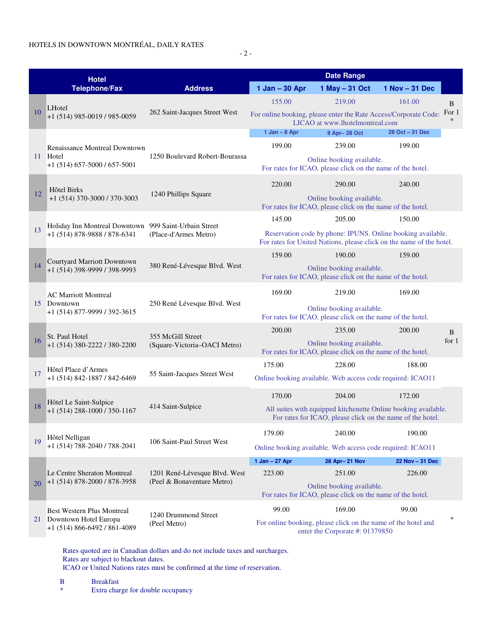- 2 -

| <b>Hotel</b><br><b>Telephone/Fax</b> |                                                                                               |                                                             | <b>Date Range</b>                                                                                                                   |                                                                                                                              |                   |                 |
|--------------------------------------|-----------------------------------------------------------------------------------------------|-------------------------------------------------------------|-------------------------------------------------------------------------------------------------------------------------------------|------------------------------------------------------------------------------------------------------------------------------|-------------------|-----------------|
|                                      |                                                                                               | <b>Address</b>                                              | 1 Jan - 30 Apr                                                                                                                      | 1 May - 31 Oct                                                                                                               | $1$ Nov $-31$ Dec |                 |
|                                      | LHotel<br>$+1$ (514) 985-0019 / 985-0059                                                      |                                                             | 155.00                                                                                                                              | 219.00                                                                                                                       | 161.00            | B               |
| 10                                   |                                                                                               | 262 Saint-Jacques Street West                               |                                                                                                                                     | For online booking, please enter the Rate Access/Corporate Code:<br>LICAO at www.lhotelmontreal.com                          |                   | For 1<br>$\ast$ |
|                                      | Renaissance Montreal Downtown<br>11 Hotel<br>$+1$ (514) 657-5000 / 657-5001                   |                                                             | $1$ Jan $-$ 8 Apr                                                                                                                   | 9 Apr-28 Oct                                                                                                                 | 29 Oct - 31 Dec   |                 |
|                                      |                                                                                               |                                                             | 199.00                                                                                                                              | 239.00                                                                                                                       | 199.00            |                 |
|                                      |                                                                                               | 1250 Boulevard Robert-Bourassa                              |                                                                                                                                     | Online booking available.<br>For rates for ICAO, please click on the name of the hotel.                                      |                   |                 |
| 12                                   | Hôtel Birks<br>$+1$ (514) 370-3000 / 370-3003                                                 | 1240 Phillips Square                                        | 220.00<br>290.00                                                                                                                    |                                                                                                                              | 240.00            |                 |
|                                      |                                                                                               |                                                             |                                                                                                                                     | Online booking available.<br>For rates for ICAO, please click on the name of the hotel.                                      |                   |                 |
|                                      | Holiday Inn Montreal Downtown 999 Saint-Urbain Street<br>+1 (514) 878-9888 / 878-6341         |                                                             | 145.00                                                                                                                              | 205.00                                                                                                                       | 150.00            |                 |
| 13                                   |                                                                                               | (Place-d'Armes Metro)                                       | Reservation code by phone: IPUNS. Online booking available.<br>For rates for United Nations, please click on the name of the hotel. |                                                                                                                              |                   |                 |
|                                      | Courtyard Marriott Downtown<br>+1 (514) 398-9999 / 398-9993                                   |                                                             | 159.00                                                                                                                              | 190.00                                                                                                                       | 159.00            |                 |
| 14                                   |                                                                                               | 380 René-Lévesque Blvd. West                                |                                                                                                                                     | Online booking available.<br>For rates for ICAO, please click on the name of the hotel.                                      |                   |                 |
|                                      | <b>AC Marriott Montreal</b><br>Downtown<br>+1 (514) 877-9999 / 392-3615                       |                                                             | 169.00<br>219.00                                                                                                                    |                                                                                                                              | 169.00            |                 |
| 15                                   |                                                                                               | 250 René Lévesque Blvd. West                                | For rates for ICAO, please click on the name of the hotel.                                                                          | Online booking available.                                                                                                    |                   |                 |
|                                      | St. Paul Hotel<br>$+1$ (514) 380-2222 / 380-2200                                              |                                                             | 200.00                                                                                                                              | 235.00<br>200.00                                                                                                             |                   | B               |
| 16                                   |                                                                                               | 355 McGill Street<br>(Square-Victoria-OACI Metro)           | Online booking available.<br>For rates for ICAO, please click on the name of the hotel.                                             |                                                                                                                              |                   | for $1$         |
|                                      | Hôtel Place d'Armes                                                                           |                                                             | 175.00                                                                                                                              | 228.00                                                                                                                       | 188.00            |                 |
| 17                                   | +1 (514) 842-1887 / 842-6469                                                                  | 55 Saint-Jacques Street West                                | Online booking available. Web access code required: ICAO11                                                                          |                                                                                                                              |                   |                 |
|                                      | Hôtel Le Saint-Sulpice<br>$+1$ (514) 288-1000 / 350-1167                                      | 414 Saint-Sulpice                                           | 170.00                                                                                                                              | 204.00                                                                                                                       | 172.00            |                 |
| 18                                   |                                                                                               |                                                             |                                                                                                                                     | All suites with equipped kitchenette Online booking available.<br>For rates for ICAO, please click on the name of the hotel. |                   |                 |
|                                      | Hôtel Nelligan<br>+1 (514) 788-2040 / 788-2041                                                |                                                             | 179.00                                                                                                                              | 240.00                                                                                                                       | 190.00            |                 |
| 19                                   |                                                                                               | 106 Saint-Paul Street West                                  |                                                                                                                                     | Online booking available. Web access code required: ICAO11                                                                   |                   |                 |
|                                      | Le Centre Sheraton Montreal<br>$+1$ (514) 878-2000 / 878-3958                                 |                                                             | $1$ Jan $-$ 27 Apr                                                                                                                  | 28 Apr-21 Nov                                                                                                                | 22 Nov - 31 Dec   |                 |
|                                      |                                                                                               | 1201 René-Lévesque Blvd. West<br>(Peel & Bonaventure Metro) | 223.00                                                                                                                              | 251.00                                                                                                                       | 226.00            |                 |
| 20                                   |                                                                                               |                                                             |                                                                                                                                     | Online booking available.<br>For rates for ICAO, please click on the name of the hotel.                                      |                   |                 |
|                                      | <b>Best Western Plus Montreal</b><br>21 Downtown Hotel Europa<br>+1 (514) 866-6492 / 861-4089 | 1240 Drummond Street                                        | 99.00                                                                                                                               | 169.00                                                                                                                       | 99.00             | ∗               |
|                                      |                                                                                               | (Peel Metro)                                                |                                                                                                                                     | For online booking, please click on the name of the hotel and<br>enter the Corporate #: 01379850                             |                   |                 |

 Rates quoted are in Canadian dollars and do not include taxes and surcharges. Rates are subject to blackout dates. ICAO or United Nations rates must be confirmed at the time of reservation.

 B Breakfast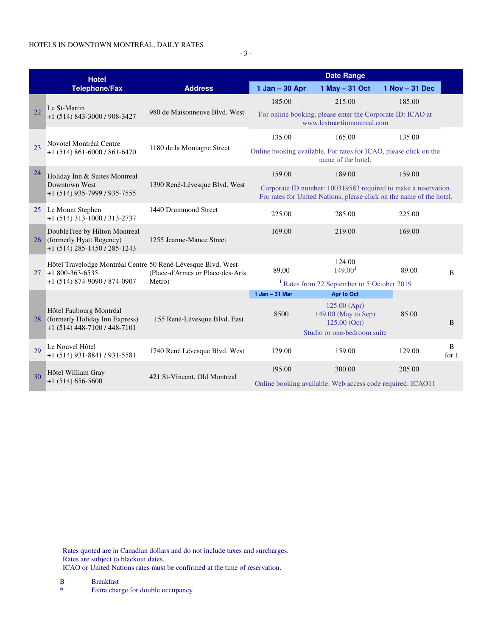## HOTELS IN DOWNTOWN MONTRÉAL, DAILY RATES

- 3 -

| <b>Hotel</b> |                                                                                                                          |                                   | <b>Date Range</b>                                                                                                                      |                                                                                          |                |              |  |
|--------------|--------------------------------------------------------------------------------------------------------------------------|-----------------------------------|----------------------------------------------------------------------------------------------------------------------------------------|------------------------------------------------------------------------------------------|----------------|--------------|--|
|              | <b>Telephone/Fax</b>                                                                                                     | <b>Address</b>                    | 1 Jan - 30 Apr                                                                                                                         | 1 May $-31$ Oct                                                                          | 1 Nov - 31 Dec |              |  |
|              |                                                                                                                          |                                   | 185.00                                                                                                                                 | 215.00                                                                                   | 185.00         |              |  |
| 22           | Le St-Martin<br>+1 (514) 843-3000 / 908-3427                                                                             | 980 de Maisonneuve Blyd. West     |                                                                                                                                        | For online booking, please enter the Corporate ID: ICAO at<br>www.lestmartinmontreal.com |                |              |  |
|              | Novotel Montréal Centre<br>$+1$ (514) 861-6000 / 861-6470                                                                |                                   | 135.00                                                                                                                                 | 165.00                                                                                   | 135.00         |              |  |
| 23           |                                                                                                                          | 1180 de la Montagne Street        |                                                                                                                                        | Online booking available. For rates for ICAO, please click on the<br>name of the hotel.  |                |              |  |
| 24           | Holiday Inn & Suites Montreal<br>Downtown West<br>+1 (514) 935-7999 / 935-7555                                           |                                   | 159.00                                                                                                                                 | 189.00                                                                                   | 159.00         |              |  |
|              |                                                                                                                          | 1390 René-Lévesque Blvd. West     | Corporate ID number: 100319583 required to make a reservation.<br>For rates for United Nations, please click on the name of the hotel. |                                                                                          |                |              |  |
|              | 25 Le Mount Stephen<br>$+1$ (514) 313-1000 / 313-2737                                                                    | 1440 Drummond Street              | 225.00                                                                                                                                 | 285.00                                                                                   | 225.00         |              |  |
|              | DoubleTree by Hilton Montreal<br>26 (formerly Hyatt Regency)<br>+1 (514) 285-1450 / 285-1243                             | 1255 Jeanne-Mance Street          | 169.00                                                                                                                                 | 219.00                                                                                   | 169.00         |              |  |
|              | Hôtel Travelodge Montréal Centre 50 René-Lévesque Blvd. West<br>$27 + 1800 - 363 - 6535$<br>+1 (514) 874-9090 / 874-0907 | (Place-d'Armes or Place-des-Arts) | 89.00                                                                                                                                  | 124.00<br>149.00 <sup>1</sup>                                                            | 89.00          | B            |  |
|              |                                                                                                                          | Metro)                            | <sup>1</sup> Rates from 22 September to 5 October 2019                                                                                 |                                                                                          |                |              |  |
|              |                                                                                                                          |                                   | 1 Jan - 31 Mar                                                                                                                         | <b>Apr to Oct</b>                                                                        |                |              |  |
| 28           | Hôtel Faubourg Montréal<br>(formerly Holiday Inn Express)<br>$+1$ (514) 448-7100 / 448-7101                              | 155 René-Lévesque Blvd. East      | 8500                                                                                                                                   | $125.00$ (Apr)<br>149.00 (May to Sep)<br>$125.00$ (Oct)                                  | 85.00          | B            |  |
|              |                                                                                                                          |                                   |                                                                                                                                        | Studio or one-bedroom suite                                                              |                |              |  |
| 29           | Le Nouvel Hôtel<br>+1 (514) 931-8841 / 931-5581                                                                          | 1740 René Lévesque Blvd. West     | 129.00                                                                                                                                 | 159.00                                                                                   | 129.00         | B<br>for $1$ |  |
|              | Hôtel William Gray<br>$+1(514)656-5600$                                                                                  |                                   | 195.00                                                                                                                                 | 300.00                                                                                   | 205.00         |              |  |
| 30           |                                                                                                                          | 421 St-Vincent, Old Montreal      |                                                                                                                                        | Online booking available. Web access code required: ICAO11                               |                |              |  |

 Rates quoted are in Canadian dollars and do not include taxes and surcharges. Rates are subject to blackout dates. ICAO or United Nations rates must be confirmed at the time of reservation.

 B Breakfast